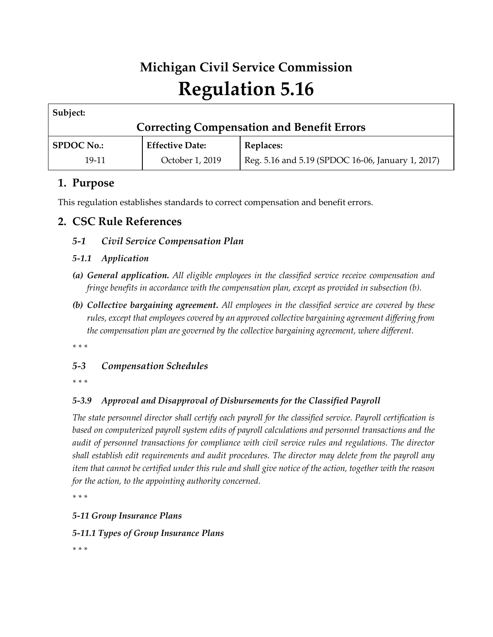# **Michigan Civil Service Commission Regulation 5.16**

| Subject:                                          |                        |                                                   |
|---------------------------------------------------|------------------------|---------------------------------------------------|
| <b>Correcting Compensation and Benefit Errors</b> |                        |                                                   |
| <b>SPDOC No.:</b>                                 | <b>Effective Date:</b> | <b>Replaces:</b>                                  |
| 19-11                                             | October 1, 2019        | Reg. 5.16 and 5.19 (SPDOC 16-06, January 1, 2017) |

# **1. Purpose**

This regulation establishes standards to correct compensation and benefit errors.

# **2. CSC Rule References**

## *5-1 Civil Service Compensation Plan*

## *5-1.1 Application*

- *(a) General application. All eligible employees in the classified service receive compensation and fringe benefits in accordance with the compensation plan, except as provided in subsection (b).*
- *(b) Collective bargaining agreement. All employees in the classified service are covered by these rules, except that employees covered by an approved collective bargaining agreement differing from the compensation plan are governed by the collective bargaining agreement, where different.*

*\* \* \** 

## *5-3 Compensation Schedules*

*\* \* \** 

## *5-3.9 Approval and Disapproval of Disbursements for the Classified Payroll*

*The state personnel director shall certify each payroll for the classified service. Payroll certification is based on computerized payroll system edits of payroll calculations and personnel transactions and the audit of personnel transactions for compliance with civil service rules and regulations. The director shall establish edit requirements and audit procedures. The director may delete from the payroll any item that cannot be certified under this rule and shall give notice of the action, together with the reason for the action, to the appointing authority concerned.*

*\* \* \** 

## *5-11 Group Insurance Plans*

*5-11.1 Types of Group Insurance Plans*

*\* \* \**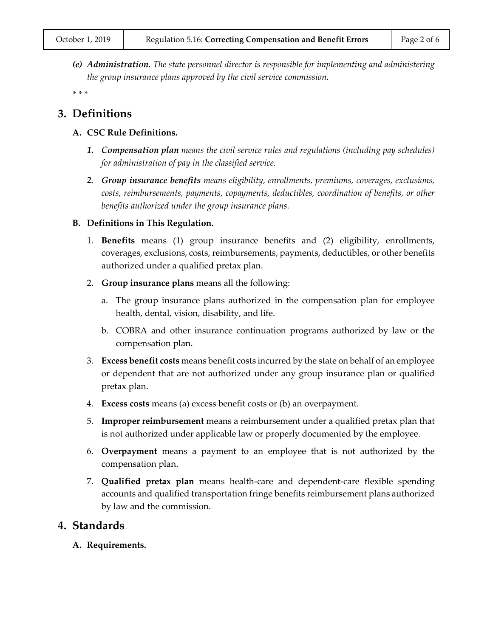*(e) Administration. The state personnel director is responsible for implementing and administering the group insurance plans approved by the civil service commission.*

*\* \* \**

## **3. Definitions**

- **A. CSC Rule Definitions.**
	- *1. Compensation plan means the civil service rules and regulations (including pay schedules) for administration of pay in the classified service.*
	- *2. Group insurance benefits means eligibility, enrollments, premiums, coverages, exclusions, costs, reimbursements, payments, copayments, deductibles, coordination of benefits, or other benefits authorized under the group insurance plans.*

#### **B. Definitions in This Regulation.**

- 1. **Benefits** means (1) group insurance benefits and (2) eligibility, enrollments, coverages, exclusions, costs, reimbursements, payments, deductibles, or other benefits authorized under a qualified pretax plan.
- 2. **Group insurance plans** means all the following:
	- a. The group insurance plans authorized in the compensation plan for employee health, dental, vision, disability, and life.
	- b. COBRA and other insurance continuation programs authorized by law or the compensation plan.
- 3. **Excess benefit costs** means benefit costs incurred by the state on behalf of an employee or dependent that are not authorized under any group insurance plan or qualified pretax plan.
- 4. **Excess costs** means (a) excess benefit costs or (b) an overpayment.
- 5. **Improper reimbursement** means a reimbursement under a qualified pretax plan that is not authorized under applicable law or properly documented by the employee.
- 6. **Overpayment** means a payment to an employee that is not authorized by the compensation plan.
- 7. **Qualified pretax plan** means health-care and dependent-care flexible spending accounts and qualified transportation fringe benefits reimbursement plans authorized by law and the commission.

## **4. Standards**

**A. Requirements.**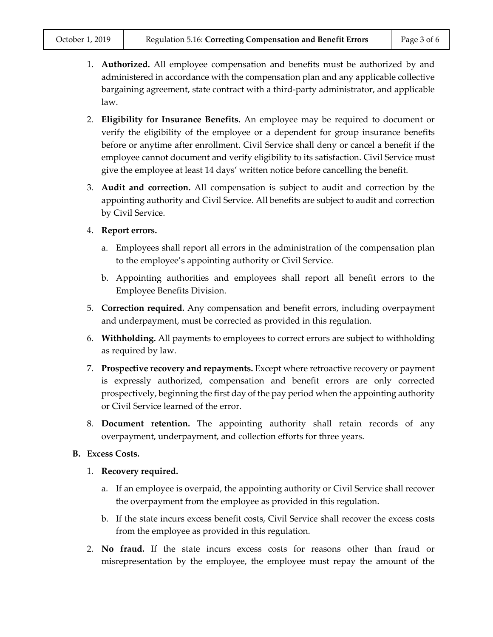- 1. **Authorized.** All employee compensation and benefits must be authorized by and administered in accordance with the compensation plan and any applicable collective bargaining agreement, state contract with a third-party administrator, and applicable law.
- 2. **Eligibility for Insurance Benefits.** An employee may be required to document or verify the eligibility of the employee or a dependent for group insurance benefits before or anytime after enrollment. Civil Service shall deny or cancel a benefit if the employee cannot document and verify eligibility to its satisfaction. Civil Service must give the employee at least 14 days' written notice before cancelling the benefit.
- 3. **Audit and correction.** All compensation is subject to audit and correction by the appointing authority and Civil Service. All benefits are subject to audit and correction by Civil Service.
- 4. **Report errors.**
	- a. Employees shall report all errors in the administration of the compensation plan to the employee's appointing authority or Civil Service.
	- b. Appointing authorities and employees shall report all benefit errors to the Employee Benefits Division.
- 5. **Correction required.** Any compensation and benefit errors, including overpayment and underpayment, must be corrected as provided in this regulation.
- 6. **Withholding.** All payments to employees to correct errors are subject to withholding as required by law.
- 7. **Prospective recovery and repayments.** Except where retroactive recovery or payment is expressly authorized, compensation and benefit errors are only corrected prospectively, beginning the first day of the pay period when the appointing authority or Civil Service learned of the error.
- 8. **Document retention.** The appointing authority shall retain records of any overpayment, underpayment, and collection efforts for three years.
- **B. Excess Costs.**
	- 1. **Recovery required.**
		- a. If an employee is overpaid, the appointing authority or Civil Service shall recover the overpayment from the employee as provided in this regulation.
		- b. If the state incurs excess benefit costs, Civil Service shall recover the excess costs from the employee as provided in this regulation.
	- 2. **No fraud.** If the state incurs excess costs for reasons other than fraud or misrepresentation by the employee, the employee must repay the amount of the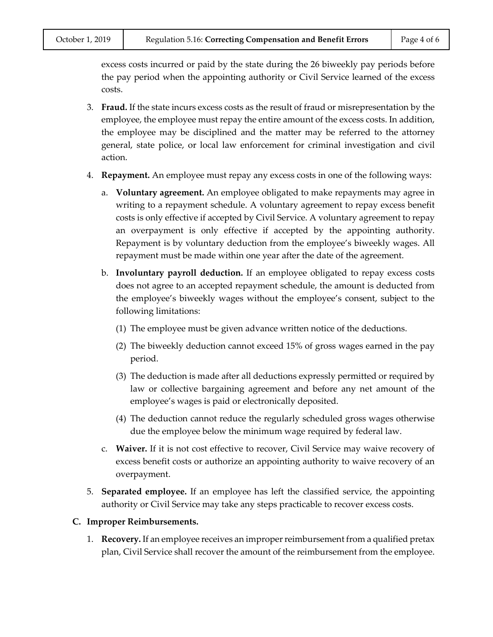excess costs incurred or paid by the state during the 26 biweekly pay periods before the pay period when the appointing authority or Civil Service learned of the excess costs.

- 3. **Fraud.** If the state incurs excess costs as the result of fraud or misrepresentation by the employee, the employee must repay the entire amount of the excess costs. In addition, the employee may be disciplined and the matter may be referred to the attorney general, state police, or local law enforcement for criminal investigation and civil action.
- 4. **Repayment.** An employee must repay any excess costs in one of the following ways:
	- a. **Voluntary agreement.** An employee obligated to make repayments may agree in writing to a repayment schedule. A voluntary agreement to repay excess benefit costs is only effective if accepted by Civil Service. A voluntary agreement to repay an overpayment is only effective if accepted by the appointing authority. Repayment is by voluntary deduction from the employee's biweekly wages. All repayment must be made within one year after the date of the agreement.
	- b. **Involuntary payroll deduction.** If an employee obligated to repay excess costs does not agree to an accepted repayment schedule, the amount is deducted from the employee's biweekly wages without the employee's consent, subject to the following limitations:
		- (1) The employee must be given advance written notice of the deductions.
		- (2) The biweekly deduction cannot exceed 15% of gross wages earned in the pay period.
		- (3) The deduction is made after all deductions expressly permitted or required by law or collective bargaining agreement and before any net amount of the employee's wages is paid or electronically deposited.
		- (4) The deduction cannot reduce the regularly scheduled gross wages otherwise due the employee below the minimum wage required by federal law.
	- c. **Waiver.** If it is not cost effective to recover, Civil Service may waive recovery of excess benefit costs or authorize an appointing authority to waive recovery of an overpayment.
- 5. **Separated employee.** If an employee has left the classified service, the appointing authority or Civil Service may take any steps practicable to recover excess costs.

#### **C. Improper Reimbursements.**

1. **Recovery.** If an employee receives an improper reimbursement from a qualified pretax plan, Civil Service shall recover the amount of the reimbursement from the employee.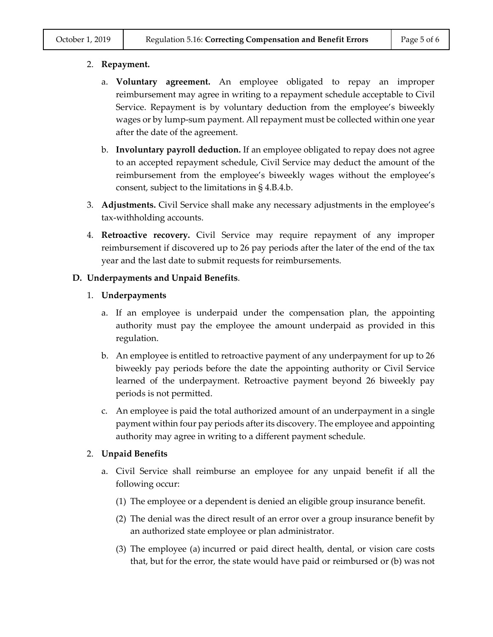#### 2. **Repayment.**

- a. **Voluntary agreement.** An employee obligated to repay an improper reimbursement may agree in writing to a repayment schedule acceptable to Civil Service. Repayment is by voluntary deduction from the employee's biweekly wages or by lump-sum payment. All repayment must be collected within one year after the date of the agreement.
- b. **Involuntary payroll deduction.** If an employee obligated to repay does not agree to an accepted repayment schedule, Civil Service may deduct the amount of the reimbursement from the employee's biweekly wages without the employee's consent, subject to the limitations in § 4.B.4.b.
- 3. **Adjustments.** Civil Service shall make any necessary adjustments in the employee's tax-withholding accounts.
- 4. **Retroactive recovery.** Civil Service may require repayment of any improper reimbursement if discovered up to 26 pay periods after the later of the end of the tax year and the last date to submit requests for reimbursements.

#### **D. Underpayments and Unpaid Benefits**.

#### 1. **Underpayments**

- a. If an employee is underpaid under the compensation plan, the appointing authority must pay the employee the amount underpaid as provided in this regulation.
- b. An employee is entitled to retroactive payment of any underpayment for up to 26 biweekly pay periods before the date the appointing authority or Civil Service learned of the underpayment. Retroactive payment beyond 26 biweekly pay periods is not permitted.
- c. An employee is paid the total authorized amount of an underpayment in a single payment within four pay periods after its discovery. The employee and appointing authority may agree in writing to a different payment schedule.

#### 2. **Unpaid Benefits**

- a. Civil Service shall reimburse an employee for any unpaid benefit if all the following occur:
	- (1) The employee or a dependent is denied an eligible group insurance benefit.
	- (2) The denial was the direct result of an error over a group insurance benefit by an authorized state employee or plan administrator.
	- (3) The employee (a) incurred or paid direct health, dental, or vision care costs that, but for the error, the state would have paid or reimbursed or (b) was not